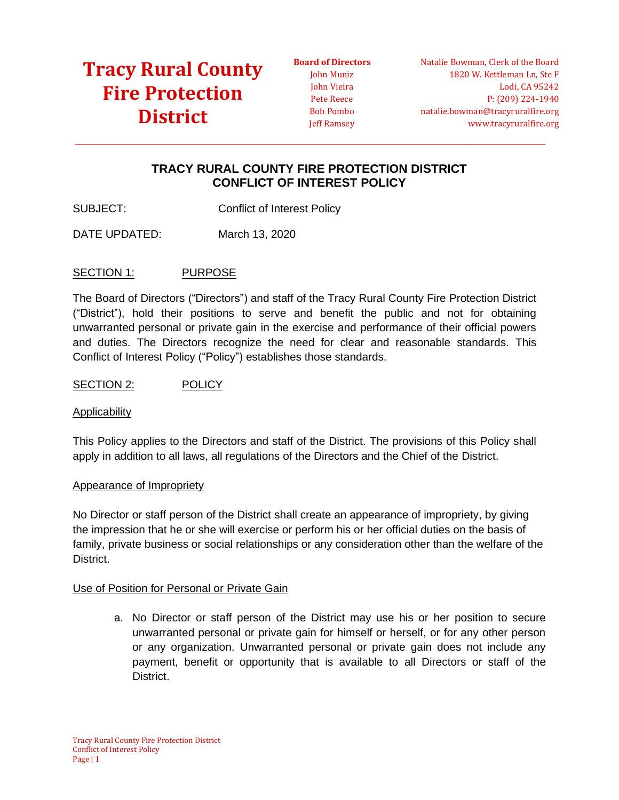**Board of Directors** John Muniz John Vieira Pete Reece Bob Pombo Jeff Ramsey

Natalie Bowman, Clerk of the Board 1820 W. Kettleman Ln, Ste F Lodi, CA 95242 P: (209) 224-1940 natalie.bowman@tracyruralfire.org www.tracyruralfire.org

### **TRACY RURAL COUNTY FIRE PROTECTION DISTRICT CONFLICT OF INTEREST POLICY**

 $\_$  ,  $\_$  ,  $\_$  ,  $\_$  ,  $\_$  ,  $\_$  ,  $\_$  ,  $\_$  ,  $\_$  ,  $\_$  ,  $\_$  ,  $\_$  ,  $\_$  ,  $\_$  ,  $\_$  ,  $\_$  ,  $\_$  ,  $\_$  ,  $\_$  ,  $\_$  ,  $\_$  ,  $\_$  ,  $\_$  ,  $\_$  ,  $\_$  ,  $\_$  ,  $\_$  ,  $\_$  ,  $\_$  ,  $\_$  ,  $\_$  ,  $\_$  ,  $\_$  ,  $\_$  ,  $\_$  ,  $\_$  ,  $\_$  ,

SUBJECT: Conflict of Interest Policy

DATE UPDATED: March 13, 2020

#### SECTION 1: PURPOSE

The Board of Directors ("Directors") and staff of the Tracy Rural County Fire Protection District ("District"), hold their positions to serve and benefit the public and not for obtaining unwarranted personal or private gain in the exercise and performance of their official powers and duties. The Directors recognize the need for clear and reasonable standards. This Conflict of Interest Policy ("Policy") establishes those standards.

SECTION 2: POLICY

#### Applicability

This Policy applies to the Directors and staff of the District. The provisions of this Policy shall apply in addition to all laws, all regulations of the Directors and the Chief of the District.

#### Appearance of Impropriety

No Director or staff person of the District shall create an appearance of impropriety, by giving the impression that he or she will exercise or perform his or her official duties on the basis of family, private business or social relationships or any consideration other than the welfare of the District.

#### Use of Position for Personal or Private Gain

a. No Director or staff person of the District may use his or her position to secure unwarranted personal or private gain for himself or herself, or for any other person or any organization. Unwarranted personal or private gain does not include any payment, benefit or opportunity that is available to all Directors or staff of the District.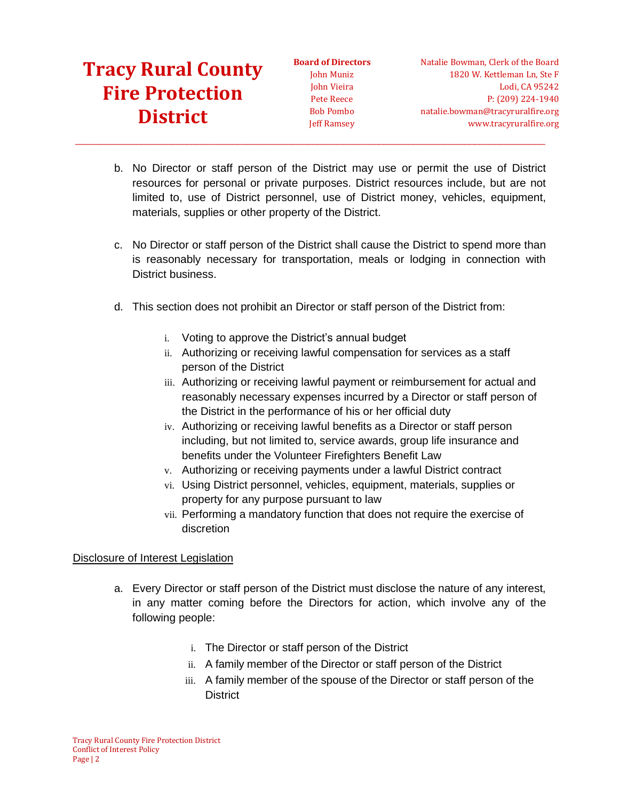**Board of Directors** John Muniz John Vieira Pete Reece Bob Pombo Jeff Ramsey

b. No Director or staff person of the District may use or permit the use of District resources for personal or private purposes. District resources include, but are not limited to, use of District personnel, use of District money, vehicles, equipment, materials, supplies or other property of the District.

 $\_$  ,  $\_$  ,  $\_$  ,  $\_$  ,  $\_$  ,  $\_$  ,  $\_$  ,  $\_$  ,  $\_$  ,  $\_$  ,  $\_$  ,  $\_$  ,  $\_$  ,  $\_$  ,  $\_$  ,  $\_$  ,  $\_$  ,  $\_$  ,  $\_$  ,  $\_$  ,  $\_$  ,  $\_$  ,  $\_$  ,  $\_$  ,  $\_$  ,  $\_$  ,  $\_$  ,  $\_$  ,  $\_$  ,  $\_$  ,  $\_$  ,  $\_$  ,  $\_$  ,  $\_$  ,  $\_$  ,  $\_$  ,  $\_$  ,

- c. No Director or staff person of the District shall cause the District to spend more than is reasonably necessary for transportation, meals or lodging in connection with District business.
- d. This section does not prohibit an Director or staff person of the District from:
	- i. Voting to approve the District's annual budget
	- ii. Authorizing or receiving lawful compensation for services as a staff person of the District
	- iii. Authorizing or receiving lawful payment or reimbursement for actual and reasonably necessary expenses incurred by a Director or staff person of the District in the performance of his or her official duty
	- iv. Authorizing or receiving lawful benefits as a Director or staff person including, but not limited to, service awards, group life insurance and benefits under the Volunteer Firefighters Benefit Law
	- v. Authorizing or receiving payments under a lawful District contract
	- vi. Using District personnel, vehicles, equipment, materials, supplies or property for any purpose pursuant to law
	- vii. Performing a mandatory function that does not require the exercise of discretion

### Disclosure of Interest Legislation

- a. Every Director or staff person of the District must disclose the nature of any interest, in any matter coming before the Directors for action, which involve any of the following people:
	- i. The Director or staff person of the District
	- ii. A family member of the Director or staff person of the District
	- iii. A family member of the spouse of the Director or staff person of the **District**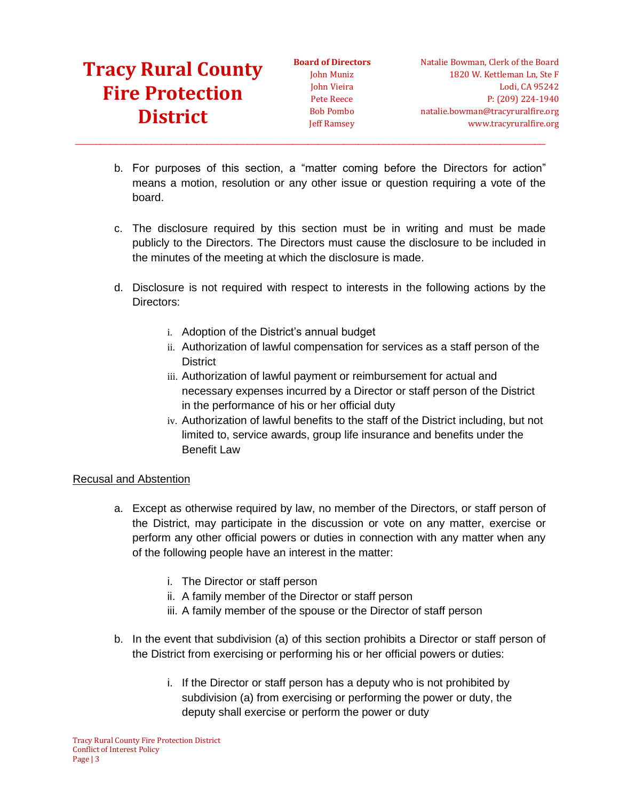**Board of Directors** John Muniz John Vieira Pete Reece Bob Pombo Jeff Ramsey

b. For purposes of this section, a "matter coming before the Directors for action" means a motion, resolution or any other issue or question requiring a vote of the board.

 $\_$  ,  $\_$  ,  $\_$  ,  $\_$  ,  $\_$  ,  $\_$  ,  $\_$  ,  $\_$  ,  $\_$  ,  $\_$  ,  $\_$  ,  $\_$  ,  $\_$  ,  $\_$  ,  $\_$  ,  $\_$  ,  $\_$  ,  $\_$  ,  $\_$  ,  $\_$  ,  $\_$  ,  $\_$  ,  $\_$  ,  $\_$  ,  $\_$  ,  $\_$  ,  $\_$  ,  $\_$  ,  $\_$  ,  $\_$  ,  $\_$  ,  $\_$  ,  $\_$  ,  $\_$  ,  $\_$  ,  $\_$  ,  $\_$  ,

- c. The disclosure required by this section must be in writing and must be made publicly to the Directors. The Directors must cause the disclosure to be included in the minutes of the meeting at which the disclosure is made.
- d. Disclosure is not required with respect to interests in the following actions by the Directors:
	- i. Adoption of the District's annual budget
	- ii. Authorization of lawful compensation for services as a staff person of the **District**
	- iii. Authorization of lawful payment or reimbursement for actual and necessary expenses incurred by a Director or staff person of the District in the performance of his or her official duty
	- iv. Authorization of lawful benefits to the staff of the District including, but not limited to, service awards, group life insurance and benefits under the Benefit Law

### Recusal and Abstention

- a. Except as otherwise required by law, no member of the Directors, or staff person of the District, may participate in the discussion or vote on any matter, exercise or perform any other official powers or duties in connection with any matter when any of the following people have an interest in the matter:
	- i. The Director or staff person
	- ii. A family member of the Director or staff person
	- iii. A family member of the spouse or the Director of staff person
- b. In the event that subdivision (a) of this section prohibits a Director or staff person of the District from exercising or performing his or her official powers or duties:
	- i. If the Director or staff person has a deputy who is not prohibited by subdivision (a) from exercising or performing the power or duty, the deputy shall exercise or perform the power or duty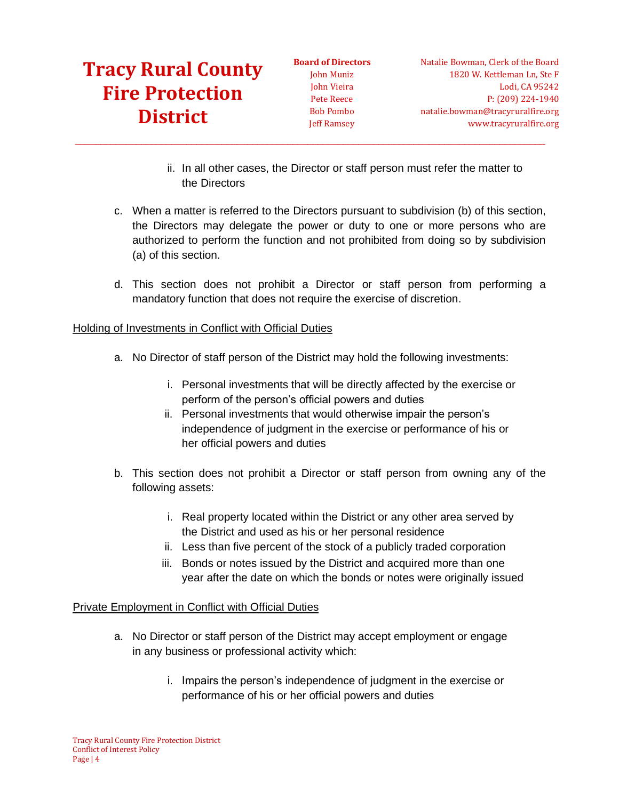**Board of Directors** John Muniz John Vieira Pete Reece Bob Pombo Jeff Ramsey

 $\_$  ,  $\_$  ,  $\_$  ,  $\_$  ,  $\_$  ,  $\_$  ,  $\_$  ,  $\_$  ,  $\_$  ,  $\_$  ,  $\_$  ,  $\_$  ,  $\_$  ,  $\_$  ,  $\_$  ,  $\_$  ,  $\_$  ,  $\_$  ,  $\_$  ,  $\_$  ,  $\_$  ,  $\_$  ,  $\_$  ,  $\_$  ,  $\_$  ,  $\_$  ,  $\_$  ,  $\_$  ,  $\_$  ,  $\_$  ,  $\_$  ,  $\_$  ,  $\_$  ,  $\_$  ,  $\_$  ,  $\_$  ,  $\_$  ,

- ii. In all other cases, the Director or staff person must refer the matter to the Directors
- c. When a matter is referred to the Directors pursuant to subdivision (b) of this section, the Directors may delegate the power or duty to one or more persons who are authorized to perform the function and not prohibited from doing so by subdivision (a) of this section.
- d. This section does not prohibit a Director or staff person from performing a mandatory function that does not require the exercise of discretion.

### Holding of Investments in Conflict with Official Duties

- a. No Director of staff person of the District may hold the following investments:
	- i. Personal investments that will be directly affected by the exercise or perform of the person's official powers and duties
	- ii. Personal investments that would otherwise impair the person's independence of judgment in the exercise or performance of his or her official powers and duties
- b. This section does not prohibit a Director or staff person from owning any of the following assets:
	- i. Real property located within the District or any other area served by the District and used as his or her personal residence
	- ii. Less than five percent of the stock of a publicly traded corporation
	- iii. Bonds or notes issued by the District and acquired more than one year after the date on which the bonds or notes were originally issued

#### Private Employment in Conflict with Official Duties

- a. No Director or staff person of the District may accept employment or engage in any business or professional activity which:
	- i. Impairs the person's independence of judgment in the exercise or performance of his or her official powers and duties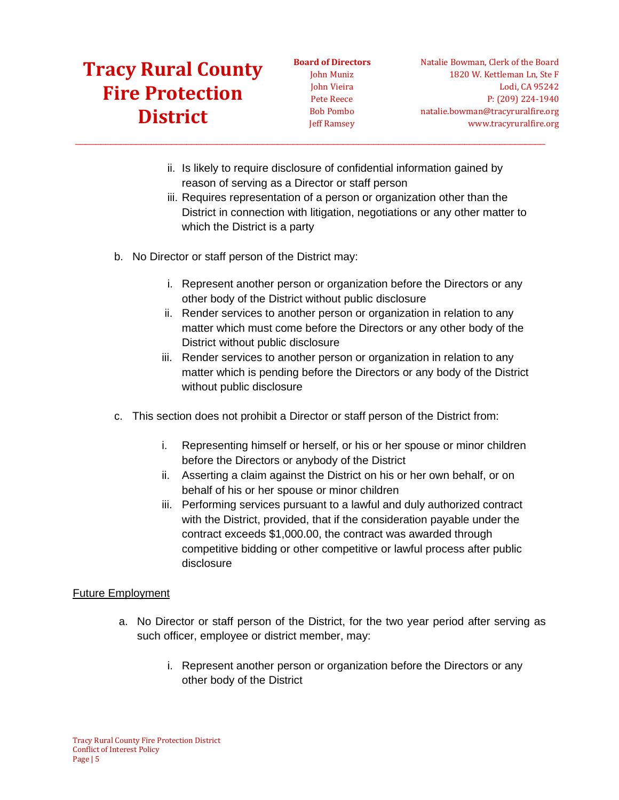**Board of Directors** John Muniz John Vieira Pete Reece Bob Pombo Jeff Ramsey

Natalie Bowman, Clerk of the Board 1820 W. Kettleman Ln, Ste F Lodi, CA 95242 P: (209) 224-1940 natalie.bowman@tracyruralfire.org www.tracyruralfire.org

ii. Is likely to require disclosure of confidential information gained by reason of serving as a Director or staff person

 $\_$  ,  $\_$  ,  $\_$  ,  $\_$  ,  $\_$  ,  $\_$  ,  $\_$  ,  $\_$  ,  $\_$  ,  $\_$  ,  $\_$  ,  $\_$  ,  $\_$  ,  $\_$  ,  $\_$  ,  $\_$  ,  $\_$  ,  $\_$  ,  $\_$  ,  $\_$  ,  $\_$  ,  $\_$  ,  $\_$  ,  $\_$  ,  $\_$  ,  $\_$  ,  $\_$  ,  $\_$  ,  $\_$  ,  $\_$  ,  $\_$  ,  $\_$  ,  $\_$  ,  $\_$  ,  $\_$  ,  $\_$  ,  $\_$  ,

- iii. Requires representation of a person or organization other than the District in connection with litigation, negotiations or any other matter to which the District is a party
- b. No Director or staff person of the District may:
	- i. Represent another person or organization before the Directors or any other body of the District without public disclosure
	- ii. Render services to another person or organization in relation to any matter which must come before the Directors or any other body of the District without public disclosure
	- iii. Render services to another person or organization in relation to any matter which is pending before the Directors or any body of the District without public disclosure
- c. This section does not prohibit a Director or staff person of the District from:
	- i. Representing himself or herself, or his or her spouse or minor children before the Directors or anybody of the District
	- ii. Asserting a claim against the District on his or her own behalf, or on behalf of his or her spouse or minor children
	- iii. Performing services pursuant to a lawful and duly authorized contract with the District, provided, that if the consideration payable under the contract exceeds \$1,000.00, the contract was awarded through competitive bidding or other competitive or lawful process after public disclosure

#### Future Employment

- a. No Director or staff person of the District, for the two year period after serving as such officer, employee or district member, may:
	- i. Represent another person or organization before the Directors or any other body of the District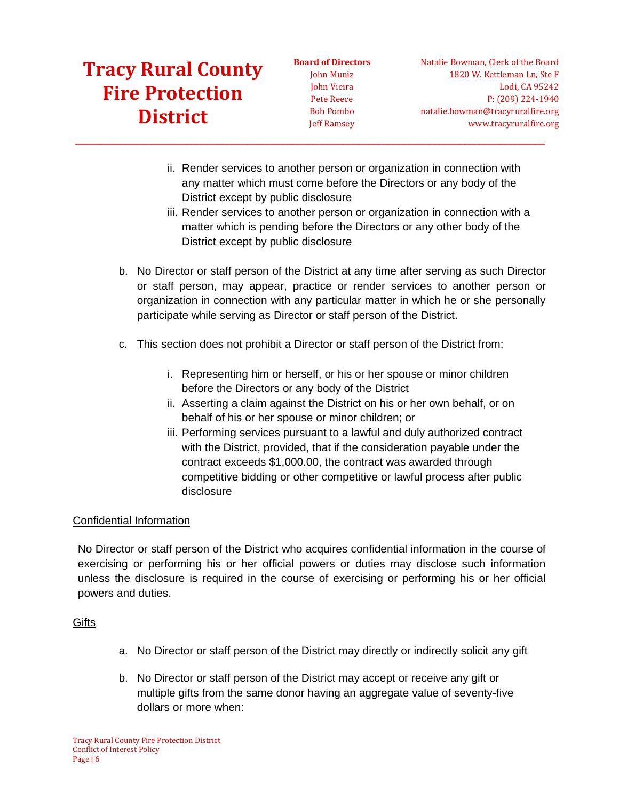**Board of Directors** John Muniz John Vieira Pete Reece Bob Pombo Jeff Ramsey

 $\_$  ,  $\_$  ,  $\_$  ,  $\_$  ,  $\_$  ,  $\_$  ,  $\_$  ,  $\_$  ,  $\_$  ,  $\_$  ,  $\_$  ,  $\_$  ,  $\_$  ,  $\_$  ,  $\_$  ,  $\_$  ,  $\_$  ,  $\_$  ,  $\_$  ,  $\_$  ,  $\_$  ,  $\_$  ,  $\_$  ,  $\_$  ,  $\_$  ,  $\_$  ,  $\_$  ,  $\_$  ,  $\_$  ,  $\_$  ,  $\_$  ,  $\_$  ,  $\_$  ,  $\_$  ,  $\_$  ,  $\_$  ,  $\_$  ,

Natalie Bowman, Clerk of the Board 1820 W. Kettleman Ln, Ste F Lodi, CA 95242 P: (209) 224-1940 natalie.bowman@tracyruralfire.org www.tracyruralfire.org

- ii. Render services to another person or organization in connection with any matter which must come before the Directors or any body of the District except by public disclosure
- iii. Render services to another person or organization in connection with a matter which is pending before the Directors or any other body of the District except by public disclosure
- b. No Director or staff person of the District at any time after serving as such Director or staff person, may appear, practice or render services to another person or organization in connection with any particular matter in which he or she personally participate while serving as Director or staff person of the District.
- c. This section does not prohibit a Director or staff person of the District from:
	- i. Representing him or herself, or his or her spouse or minor children before the Directors or any body of the District
	- ii. Asserting a claim against the District on his or her own behalf, or on behalf of his or her spouse or minor children; or
	- iii. Performing services pursuant to a lawful and duly authorized contract with the District, provided, that if the consideration payable under the contract exceeds \$1,000.00, the contract was awarded through competitive bidding or other competitive or lawful process after public disclosure

#### Confidential Information

No Director or staff person of the District who acquires confidential information in the course of exercising or performing his or her official powers or duties may disclose such information unless the disclosure is required in the course of exercising or performing his or her official powers and duties.

#### **Gifts**

- a. No Director or staff person of the District may directly or indirectly solicit any gift
- b. No Director or staff person of the District may accept or receive any gift or multiple gifts from the same donor having an aggregate value of seventy-five dollars or more when: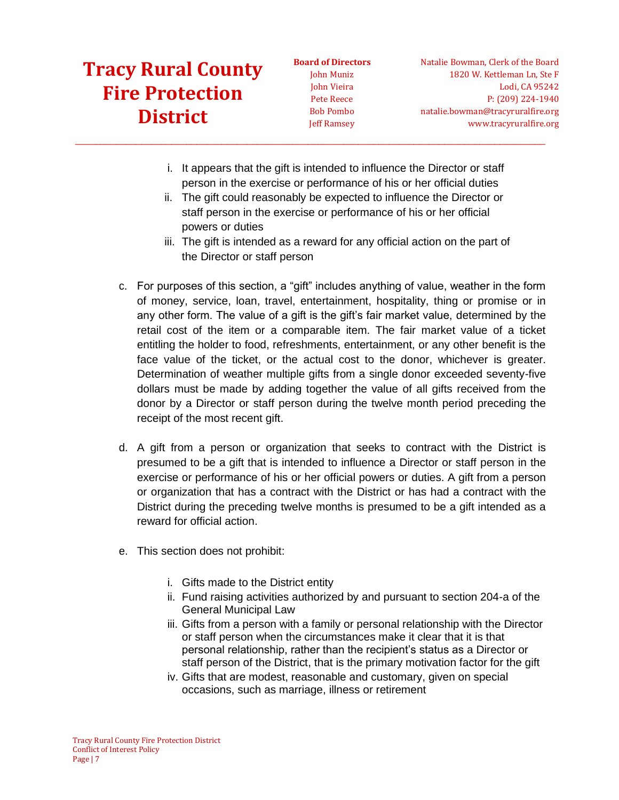**Board of Directors** John Muniz John Vieira Pete Reece Bob Pombo Jeff Ramsey

Natalie Bowman, Clerk of the Board 1820 W. Kettleman Ln, Ste F Lodi, CA 95242 P: (209) 224-1940 natalie.bowman@tracyruralfire.org www.tracyruralfire.org

i. It appears that the gift is intended to influence the Director or staff person in the exercise or performance of his or her official duties

 $\_$  ,  $\_$  ,  $\_$  ,  $\_$  ,  $\_$  ,  $\_$  ,  $\_$  ,  $\_$  ,  $\_$  ,  $\_$  ,  $\_$  ,  $\_$  ,  $\_$  ,  $\_$  ,  $\_$  ,  $\_$  ,  $\_$  ,  $\_$  ,  $\_$  ,  $\_$  ,  $\_$  ,  $\_$  ,  $\_$  ,  $\_$  ,  $\_$  ,  $\_$  ,  $\_$  ,  $\_$  ,  $\_$  ,  $\_$  ,  $\_$  ,  $\_$  ,  $\_$  ,  $\_$  ,  $\_$  ,  $\_$  ,  $\_$  ,

- ii. The gift could reasonably be expected to influence the Director or staff person in the exercise or performance of his or her official powers or duties
- iii. The gift is intended as a reward for any official action on the part of the Director or staff person
- c. For purposes of this section, a "gift" includes anything of value, weather in the form of money, service, loan, travel, entertainment, hospitality, thing or promise or in any other form. The value of a gift is the gift's fair market value, determined by the retail cost of the item or a comparable item. The fair market value of a ticket entitling the holder to food, refreshments, entertainment, or any other benefit is the face value of the ticket, or the actual cost to the donor, whichever is greater. Determination of weather multiple gifts from a single donor exceeded seventy-five dollars must be made by adding together the value of all gifts received from the donor by a Director or staff person during the twelve month period preceding the receipt of the most recent gift.
- d. A gift from a person or organization that seeks to contract with the District is presumed to be a gift that is intended to influence a Director or staff person in the exercise or performance of his or her official powers or duties. A gift from a person or organization that has a contract with the District or has had a contract with the District during the preceding twelve months is presumed to be a gift intended as a reward for official action.
- e. This section does not prohibit:
	- i. Gifts made to the District entity
	- ii. Fund raising activities authorized by and pursuant to section 204-a of the General Municipal Law
	- iii. Gifts from a person with a family or personal relationship with the Director or staff person when the circumstances make it clear that it is that personal relationship, rather than the recipient's status as a Director or staff person of the District, that is the primary motivation factor for the gift
	- iv. Gifts that are modest, reasonable and customary, given on special occasions, such as marriage, illness or retirement